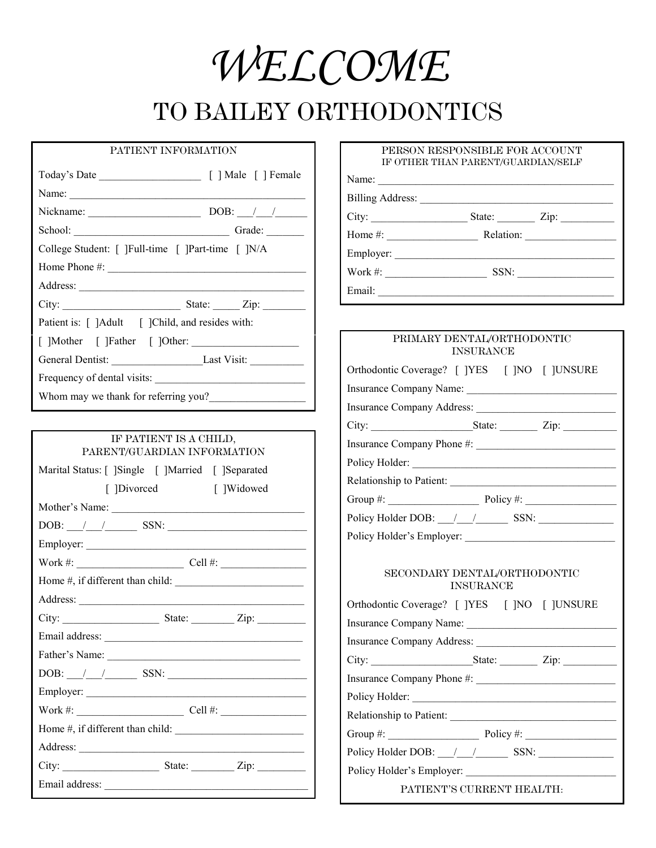*WELCOME*

# TO BAILEY ORTHODONTICS

## PATIENT INFORMATION

| Name: $\qquad \qquad$                                |                 |  |
|------------------------------------------------------|-----------------|--|
| Nickname:                                            | DOB: $\angle$ / |  |
|                                                      |                 |  |
| College Student: [ ] Full-time [ ] Part-time [ ] N/A |                 |  |
| Home Phone #: $\qquad \qquad$                        |                 |  |
|                                                      |                 |  |
| City:                                                | State: Zip:     |  |
| Patient is: [ ]Adult [ ]Child, and resides with:     |                 |  |
| []Mother []Father []Other:                           |                 |  |
| General Dentist: Last Visit: Last Visit:             |                 |  |
| Frequency of dental visits:                          |                 |  |

Whom may we thank for referring you?

| IF PATIENT IS A CHILD,<br>PARENT/GUARDIAN INFORMATION |  |  |  |
|-------------------------------------------------------|--|--|--|
| Marital Status: [ ]Single [ ]Married [ ]Separated     |  |  |  |
| [ ]Widowed<br>[ ]Divorced                             |  |  |  |
| Mother's Name:                                        |  |  |  |
|                                                       |  |  |  |
|                                                       |  |  |  |
|                                                       |  |  |  |
|                                                       |  |  |  |
|                                                       |  |  |  |
|                                                       |  |  |  |
|                                                       |  |  |  |
|                                                       |  |  |  |
|                                                       |  |  |  |
|                                                       |  |  |  |
|                                                       |  |  |  |
|                                                       |  |  |  |
|                                                       |  |  |  |
|                                                       |  |  |  |
|                                                       |  |  |  |

#### PERSON RESPONSIBLE FOR ACCOUNT IF OTHER THAN PARENT/GUARDIAN/SELF

Name:

City: \_\_\_\_\_\_\_\_\_\_\_\_\_\_\_\_\_\_ State: \_\_\_\_\_\_\_ Zip: \_\_\_\_\_\_\_\_\_\_

Employer: \_\_\_\_\_\_\_\_\_\_\_\_\_\_\_\_\_\_\_\_\_\_\_\_\_\_\_\_\_\_\_\_\_\_\_\_\_\_\_\_\_

| PRIMARY DENTAL/ORTHODONTIC                       | <b>INSURANCE</b> |  |  |
|--------------------------------------------------|------------------|--|--|
| Orthodontic Coverage? [ ]YES [ ]NO [ ]UNSURE     |                  |  |  |
| Insurance Company Name:                          |                  |  |  |
|                                                  |                  |  |  |
|                                                  |                  |  |  |
|                                                  |                  |  |  |
|                                                  |                  |  |  |
|                                                  |                  |  |  |
|                                                  |                  |  |  |
|                                                  |                  |  |  |
|                                                  |                  |  |  |
| SECONDARY DENTAL/ORTHODONTIC<br><b>INSURANCE</b> |                  |  |  |
| Orthodontic Coverage? [ ]YES [ ]NO [ ]UNSURE     |                  |  |  |
| Insurance Company Name:                          |                  |  |  |
|                                                  |                  |  |  |
|                                                  |                  |  |  |
|                                                  |                  |  |  |
|                                                  |                  |  |  |
|                                                  |                  |  |  |
| Group #: $\qquad \qquad$ Policy #:               |                  |  |  |
|                                                  |                  |  |  |
|                                                  |                  |  |  |
| PATIENT'S CURRENT HEALTH:                        |                  |  |  |

Billing Address: \_\_\_\_\_\_\_\_\_\_\_\_\_\_\_\_\_\_\_\_\_\_\_\_\_\_\_\_\_\_\_\_\_\_\_\_

Home #: \_\_\_\_\_\_\_\_\_\_\_\_\_\_\_\_\_ Relation: \_\_\_\_\_\_\_\_\_\_\_\_\_\_\_\_\_

Work #: \_\_\_\_\_\_\_\_\_\_\_\_\_\_\_\_\_\_\_ SSN: \_\_\_\_\_\_\_\_\_\_\_\_\_\_\_\_\_\_

Email: \_\_\_\_\_\_\_\_\_\_\_\_\_\_\_\_\_\_\_\_\_\_\_\_\_\_\_\_\_\_\_\_\_\_\_\_\_\_\_\_\_\_\_\_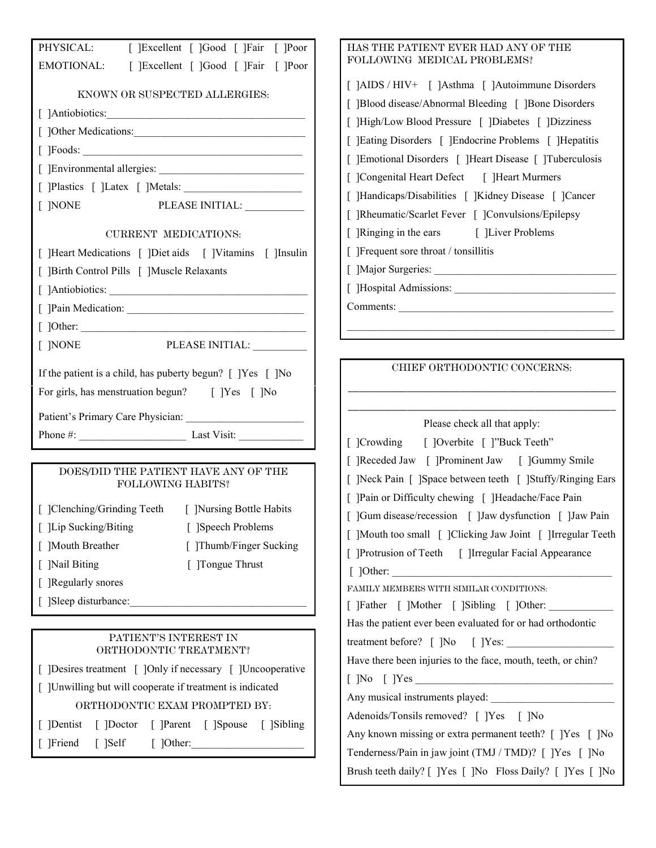|                               | PHYSICAL: [ ]Excellent [ ]Good [ ]Fair [ ]Poor                        |
|-------------------------------|-----------------------------------------------------------------------|
|                               | EMOTIONAL: [ ]Excellent [ ]Good [ ]Fair [ ]Poor                       |
|                               | KNOWN OR SUSPECTED ALLERGIES:                                         |
|                               |                                                                       |
|                               |                                                                       |
|                               |                                                                       |
|                               |                                                                       |
|                               |                                                                       |
| [ ]NONE                       | PLEASE INITIAL:                                                       |
|                               | CURRENT MEDICATIONS:                                                  |
|                               | [ ]Heart Medications [ ]Diet aids [ ]Vitamins [ ]Insulin              |
|                               | [ ]Birth Control Pills [ ]Muscle Relaxants                            |
|                               |                                                                       |
| L                             |                                                                       |
|                               |                                                                       |
| [ ]NONE                       | PLEASE INITIAL: __________                                            |
|                               |                                                                       |
|                               | If the patient is a child, has puberty begun? [ ]Yes [ ]No            |
|                               | For girls, has menstruation begun? [ ]Yes [ ]No                       |
|                               |                                                                       |
|                               |                                                                       |
|                               | Phone #: $\_\_\_\_\_\_\_\_\_\_\_\_\_\_\_\_\_\_\_\_\_\_\_\_\_\_\_\_\_$ |
|                               |                                                                       |
|                               | DOES/DID THE PATIENT HAVE ANY OF THE<br><b>FOLLOWING HABITS?</b>      |
|                               | [ ]Clenching/Grinding Teeth [ ]Nursing Bottle Habits                  |
| [ ]Lip Sucking/Biting         | [ ]Speech Problems                                                    |
| Mouth Breather                | [ ]Thumb/Finger Sucking                                               |
| [Nail Biting]<br>$\mathbf{L}$ | [ ]Tongue Thrust                                                      |
| [ ]Regularly snores           |                                                                       |
| [ ]Sleep disturbance:         |                                                                       |
|                               |                                                                       |
|                               | PATIENT'S INTEREST IN<br>ORTHODONTIC TREATMENT?                       |
|                               | [ ]Desires treatment [ ]Only if necessary [ ]Uncooperative            |
|                               | [Unwilling but will cooperate if treatment is indicated               |
|                               | ORTHODONTIC EXAM PROMPTED BY:                                         |
|                               | ]Dentist [ ]Doctor [ ]Parent [ ]Spouse [ ]Sibling                     |
|                               | [ ]Friend [ ]Self [ ]Other:                                           |

| HAS THE PATIENT EVER HAD ANY OF THE                                                                                                                                                                                                                                                  |
|--------------------------------------------------------------------------------------------------------------------------------------------------------------------------------------------------------------------------------------------------------------------------------------|
| FOLLOWING MEDICAL PROBLEMS?                                                                                                                                                                                                                                                          |
| [ ]AIDS / HIV+ [ ]Asthma [ ]Autoimmune Disorders<br>[ ]Blood disease/Abnormal Bleeding [ ]Bone Disorders<br>[ ]High/Low Blood Pressure [ ]Diabetes [ ]Dizziness<br>[ ]Eating Disorders [ ]Endocrine Problems [ ]Hepatitis<br>[ ]Emotional Disorders [ ]Heart Disease [ ]Tuberculosis |
| [ ]Congenital Heart Defect [ ]Heart Murmers                                                                                                                                                                                                                                          |
| [ ]Handicaps/Disabilities [ ]Kidney Disease [ ]Cancer                                                                                                                                                                                                                                |
| [ ]Rheumatic/Scarlet Fever [ ]Convulsions/Epilepsy                                                                                                                                                                                                                                   |
| [ ]Ringing in the ears [ ]Liver Problems                                                                                                                                                                                                                                             |
| $\lceil$ Frequent sore throat / tonsillitis                                                                                                                                                                                                                                          |
|                                                                                                                                                                                                                                                                                      |
|                                                                                                                                                                                                                                                                                      |
|                                                                                                                                                                                                                                                                                      |
|                                                                                                                                                                                                                                                                                      |
|                                                                                                                                                                                                                                                                                      |
| CHIEF ORTHODONTIC CONCERNS:                                                                                                                                                                                                                                                          |
|                                                                                                                                                                                                                                                                                      |

| Please check all that apply:                                 |
|--------------------------------------------------------------|
| [ ]Crowding [ ]Overbite [ ]"Buck Teeth"                      |
| [ ]Receded Jaw [ ]Prominent Jaw [ ]Gummy Smile               |
| [ ]Neck Pain [ ]Space between teeth [ ]Stuffy/Ringing Ears   |
| [ ]Pain or Difficulty chewing [ ]Headache/Face Pain          |
| [ ]Gum disease/recession [ ]Jaw dysfunction [ ]Jaw Pain      |
| [ ]Mouth too small [ ]Clicking Jaw Joint [ ]Irregular Teeth  |
| [ ]Protrusion of Teeth [ ]Irregular Facial Appearance        |
| $[$ ]Other:                                                  |
| FAMILY MEMBERS WITH SIMILAR CONDITIONS:                      |
| [ ]Father [ ]Mother [ ]Sibling [ ]Other:                     |
| Has the patient ever been evaluated for or had orthodontic   |
|                                                              |
| Have there been injuries to the face, mouth, teeth, or chin? |
|                                                              |
| Any musical instruments played:                              |
| Adenoids/Tonsils removed? [ ]Yes [ ]No                       |
| Any known missing or extra permanent teeth? [ ]Yes [ ]No     |
| Tenderness/Pain in jaw joint (TMJ / TMD)? [ ]Yes [ ]No       |
| Brush teeth daily? [ ]Yes [ ]No Floss Daily? [ ]Yes [ ]No    |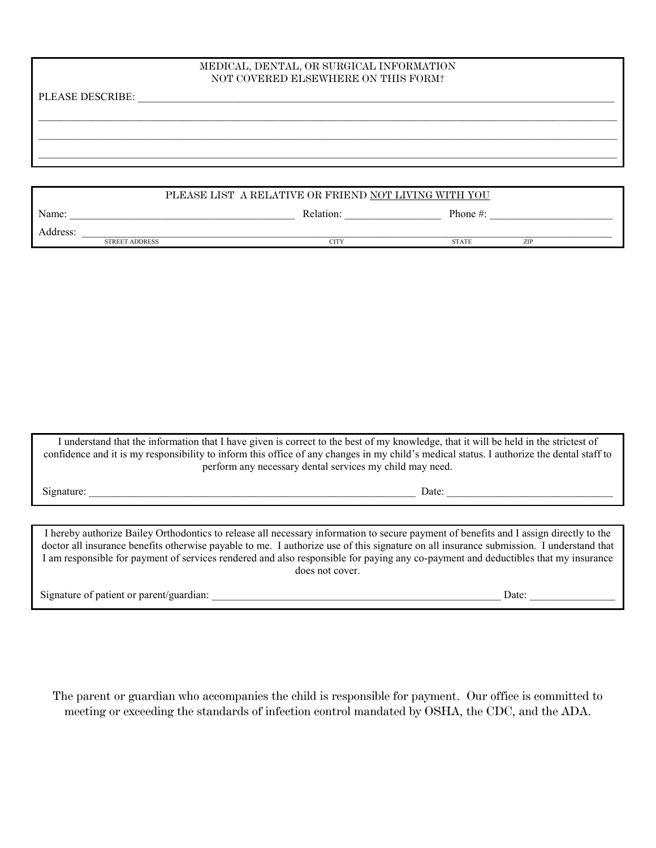### MEDICAL, DENTAL, OR SURGICAL INFORMATION NOT COVERED ELSEWHERE ON THIS FORM?

 $\mathcal{L}_\mathcal{L} = \mathcal{L}_\mathcal{L} = \mathcal{L}_\mathcal{L} = \mathcal{L}_\mathcal{L} = \mathcal{L}_\mathcal{L} = \mathcal{L}_\mathcal{L} = \mathcal{L}_\mathcal{L} = \mathcal{L}_\mathcal{L} = \mathcal{L}_\mathcal{L} = \mathcal{L}_\mathcal{L} = \mathcal{L}_\mathcal{L} = \mathcal{L}_\mathcal{L} = \mathcal{L}_\mathcal{L} = \mathcal{L}_\mathcal{L} = \mathcal{L}_\mathcal{L} = \mathcal{L}_\mathcal{L} = \mathcal{L}_\mathcal{L}$  $\mathcal{L}_\mathcal{L} = \mathcal{L}_\mathcal{L} = \mathcal{L}_\mathcal{L} = \mathcal{L}_\mathcal{L} = \mathcal{L}_\mathcal{L} = \mathcal{L}_\mathcal{L} = \mathcal{L}_\mathcal{L} = \mathcal{L}_\mathcal{L} = \mathcal{L}_\mathcal{L} = \mathcal{L}_\mathcal{L} = \mathcal{L}_\mathcal{L} = \mathcal{L}_\mathcal{L} = \mathcal{L}_\mathcal{L} = \mathcal{L}_\mathcal{L} = \mathcal{L}_\mathcal{L} = \mathcal{L}_\mathcal{L} = \mathcal{L}_\mathcal{L}$  $\mathcal{L}_\mathcal{L} = \mathcal{L}_\mathcal{L} = \mathcal{L}_\mathcal{L} = \mathcal{L}_\mathcal{L} = \mathcal{L}_\mathcal{L} = \mathcal{L}_\mathcal{L} = \mathcal{L}_\mathcal{L} = \mathcal{L}_\mathcal{L} = \mathcal{L}_\mathcal{L} = \mathcal{L}_\mathcal{L} = \mathcal{L}_\mathcal{L} = \mathcal{L}_\mathcal{L} = \mathcal{L}_\mathcal{L} = \mathcal{L}_\mathcal{L} = \mathcal{L}_\mathcal{L} = \mathcal{L}_\mathcal{L} = \mathcal{L}_\mathcal{L}$ 

PLEASE DESCRIBE:

|          | PLEASE LIST A RELATIVE OR FRIEND NOT LIVING WITH YOU |           |              |     |  |
|----------|------------------------------------------------------|-----------|--------------|-----|--|
| Name:    |                                                      | Relation: | Phone $\#$ : |     |  |
| Address: |                                                      |           |              |     |  |
|          | <b>STREET ADDRESS</b>                                | CITY      | <b>STATE</b> | ZIP |  |

I understand that the information that I have given is correct to the best of my knowledge, that it will be held in the strictest of confidence and it is my responsibility to inform this office of any changes in my child's medical status. I authorize the dental staff to perform any necessary dental services my child may need.

Signature: \_\_\_\_\_\_\_\_\_\_\_\_\_\_\_\_\_\_\_\_\_\_\_\_\_\_\_\_\_\_\_\_\_\_\_\_\_\_\_\_\_\_\_\_\_\_\_\_\_\_\_\_\_\_\_\_\_\_\_\_\_ Date: \_\_\_\_\_\_\_\_\_\_\_\_\_\_\_\_\_\_\_\_\_\_\_\_\_\_\_\_\_\_\_

I hereby authorize Bailey Orthodontics to release all necessary information to secure payment of benefits and I assign directly to the doctor all insurance benefits otherwise payable to me. I authorize use of this signature on all insurance submission. I understand that I am responsible for payment of services rendered and also responsible for paying any co-payment and deductibles that my insurance does not cover.

Signature of patient or parent/guardian: \_\_\_\_\_\_\_\_\_\_\_\_\_\_\_\_\_\_\_\_\_\_\_\_\_\_\_\_\_\_\_\_\_\_\_\_\_\_\_\_\_\_\_\_\_\_\_\_\_\_\_\_\_\_ Date: \_\_\_\_\_\_\_\_\_\_\_\_\_\_\_\_

The parent or guardian who accompanies the child is responsible for payment. Our office is committed to meeting or exceeding the standards of infection control mandated by OSHA, the CDC, and the ADA.